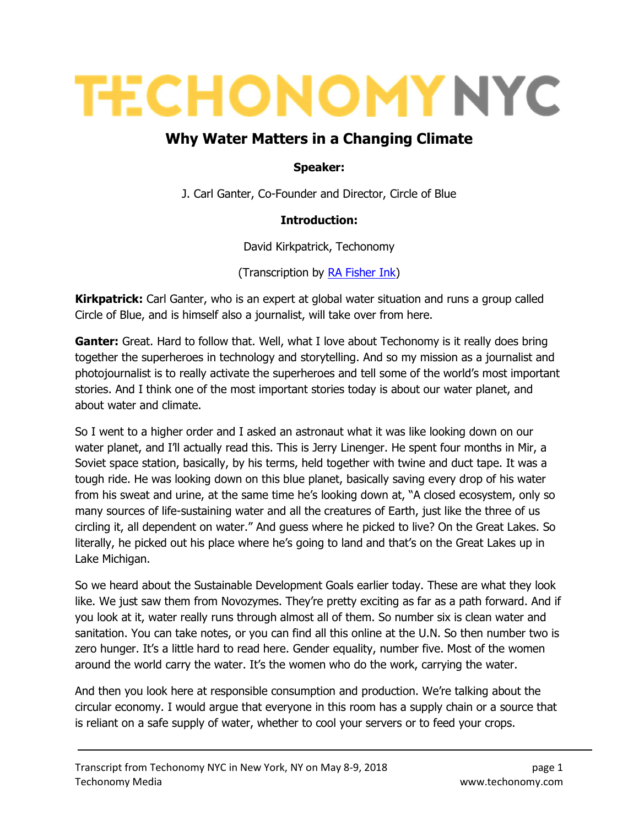# **TECHONOMY NYC**

# Why Water Matters in a Changing Climate

#### Speaker:

J. Carl Ganter, Co-Founder and Director, Circle of Blue

#### Introduction:

David Kirkpatrick, Techonomy

(Transcription by RA Fisher Ink)

**Kirkpatrick:** Carl Ganter, who is an expert at global water situation and runs a group called Circle of Blue, and is himself also a journalist, will take over from here.

**Ganter:** Great. Hard to follow that. Well, what I love about Techonomy is it really does bring together the superheroes in technology and storytelling. And so my mission as a journalist and photojournalist is to really activate the superheroes and tell some of the world's most important stories. And I think one of the most important stories today is about our water planet, and about water and climate.

So I went to a higher order and I asked an astronaut what it was like looking down on our water planet, and I'll actually read this. This is Jerry Linenger. He spent four months in Mir, a Soviet space station, basically, by his terms, held together with twine and duct tape. It was a tough ride. He was looking down on this blue planet, basically saving every drop of his water from his sweat and urine, at the same time he's looking down at, "A closed ecosystem, only so many sources of life-sustaining water and all the creatures of Earth, just like the three of us circling it, all dependent on water." And guess where he picked to live? On the Great Lakes. So literally, he picked out his place where he's going to land and that's on the Great Lakes up in Lake Michigan.

So we heard about the Sustainable Development Goals earlier today. These are what they look like. We just saw them from Novozymes. They're pretty exciting as far as a path forward. And if you look at it, water really runs through almost all of them. So number six is clean water and sanitation. You can take notes, or you can find all this online at the U.N. So then number two is zero hunger. It's a little hard to read here. Gender equality, number five. Most of the women around the world carry the water. It's the women who do the work, carrying the water.

And then you look here at responsible consumption and production. We're talking about the circular economy. I would argue that everyone in this room has a supply chain or a source that is reliant on a safe supply of water, whether to cool your servers or to feed your crops.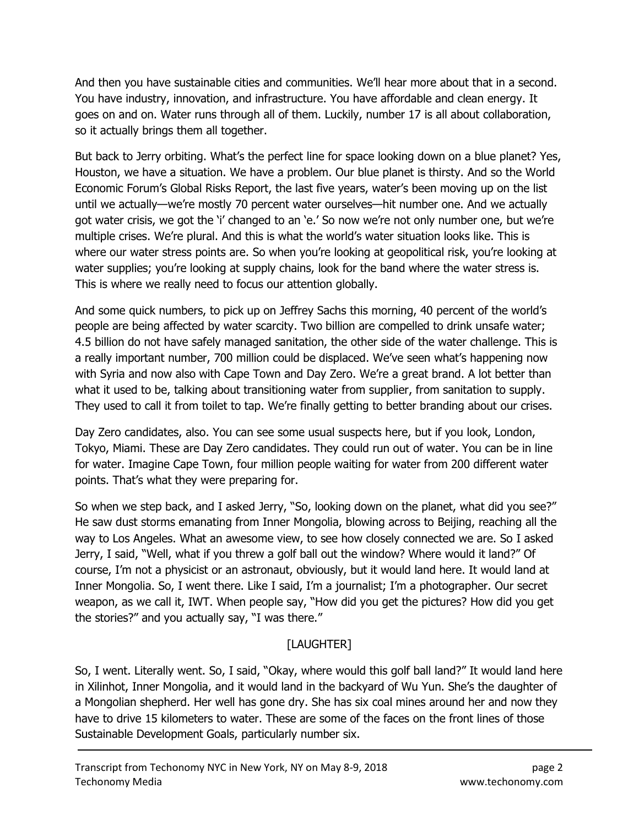And then you have sustainable cities and communities. We'll hear more about that in a second. You have industry, innovation, and infrastructure. You have affordable and clean energy. It goes on and on. Water runs through all of them. Luckily, number 17 is all about collaboration, so it actually brings them all together.

But back to Jerry orbiting. What's the perfect line for space looking down on a blue planet? Yes, Houston, we have a situation. We have a problem. Our blue planet is thirsty. And so the World Economic Forum's Global Risks Report, the last five years, water's been moving up on the list until we actually—we're mostly 70 percent water ourselves—hit number one. And we actually got water crisis, we got the 'i' changed to an 'e.' So now we're not only number one, but we're multiple crises. We're plural. And this is what the world's water situation looks like. This is where our water stress points are. So when you're looking at geopolitical risk, you're looking at water supplies; you're looking at supply chains, look for the band where the water stress is. This is where we really need to focus our attention globally.

And some quick numbers, to pick up on Jeffrey Sachs this morning, 40 percent of the world's people are being affected by water scarcity. Two billion are compelled to drink unsafe water; 4.5 billion do not have safely managed sanitation, the other side of the water challenge. This is a really important number, 700 million could be displaced. We've seen what's happening now with Syria and now also with Cape Town and Day Zero. We're a great brand. A lot better than what it used to be, talking about transitioning water from supplier, from sanitation to supply. They used to call it from toilet to tap. We're finally getting to better branding about our crises.

Day Zero candidates, also. You can see some usual suspects here, but if you look, London, Tokyo, Miami. These are Day Zero candidates. They could run out of water. You can be in line for water. Imagine Cape Town, four million people waiting for water from 200 different water points. That's what they were preparing for.

So when we step back, and I asked Jerry, "So, looking down on the planet, what did you see?" He saw dust storms emanating from Inner Mongolia, blowing across to Beijing, reaching all the way to Los Angeles. What an awesome view, to see how closely connected we are. So I asked Jerry, I said, "Well, what if you threw a golf ball out the window? Where would it land?" Of course, I'm not a physicist or an astronaut, obviously, but it would land here. It would land at Inner Mongolia. So, I went there. Like I said, I'm a journalist; I'm a photographer. Our secret weapon, as we call it, IWT. When people say, "How did you get the pictures? How did you get the stories?" and you actually say, "I was there."

# [LAUGHTER]

So, I went. Literally went. So, I said, "Okay, where would this golf ball land?" It would land here in Xilinhot, Inner Mongolia, and it would land in the backyard of Wu Yun. She's the daughter of a Mongolian shepherd. Her well has gone dry. She has six coal mines around her and now they have to drive 15 kilometers to water. These are some of the faces on the front lines of those Sustainable Development Goals, particularly number six.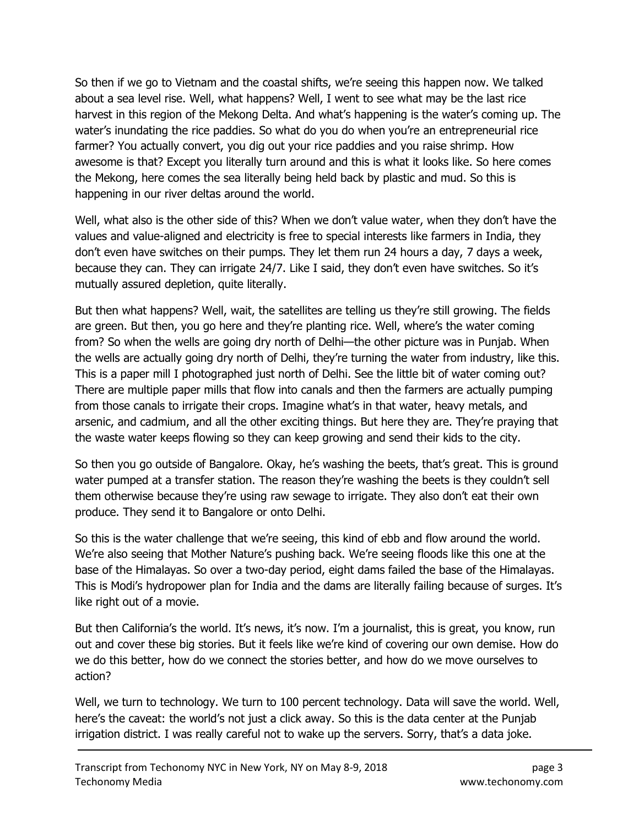So then if we go to Vietnam and the coastal shifts, we're seeing this happen now. We talked about a sea level rise. Well, what happens? Well, I went to see what may be the last rice harvest in this region of the Mekong Delta. And what's happening is the water's coming up. The water's inundating the rice paddies. So what do you do when you're an entrepreneurial rice farmer? You actually convert, you dig out your rice paddies and you raise shrimp. How awesome is that? Except you literally turn around and this is what it looks like. So here comes the Mekong, here comes the sea literally being held back by plastic and mud. So this is happening in our river deltas around the world.

Well, what also is the other side of this? When we don't value water, when they don't have the values and value-aligned and electricity is free to special interests like farmers in India, they don't even have switches on their pumps. They let them run 24 hours a day, 7 days a week, because they can. They can irrigate 24/7. Like I said, they don't even have switches. So it's mutually assured depletion, quite literally.

But then what happens? Well, wait, the satellites are telling us they're still growing. The fields are green. But then, you go here and they're planting rice. Well, where's the water coming from? So when the wells are going dry north of Delhi—the other picture was in Punjab. When the wells are actually going dry north of Delhi, they're turning the water from industry, like this. This is a paper mill I photographed just north of Delhi. See the little bit of water coming out? There are multiple paper mills that flow into canals and then the farmers are actually pumping from those canals to irrigate their crops. Imagine what's in that water, heavy metals, and arsenic, and cadmium, and all the other exciting things. But here they are. They're praying that the waste water keeps flowing so they can keep growing and send their kids to the city.

So then you go outside of Bangalore. Okay, he's washing the beets, that's great. This is ground water pumped at a transfer station. The reason they're washing the beets is they couldn't sell them otherwise because they're using raw sewage to irrigate. They also don't eat their own produce. They send it to Bangalore or onto Delhi.

So this is the water challenge that we're seeing, this kind of ebb and flow around the world. We're also seeing that Mother Nature's pushing back. We're seeing floods like this one at the base of the Himalayas. So over a two-day period, eight dams failed the base of the Himalayas. This is Modi's hydropower plan for India and the dams are literally failing because of surges. It's like right out of a movie.

But then California's the world. It's news, it's now. I'm a journalist, this is great, you know, run out and cover these big stories. But it feels like we're kind of covering our own demise. How do we do this better, how do we connect the stories better, and how do we move ourselves to action?

Well, we turn to technology. We turn to 100 percent technology. Data will save the world. Well, here's the caveat: the world's not just a click away. So this is the data center at the Punjab irrigation district. I was really careful not to wake up the servers. Sorry, that's a data joke.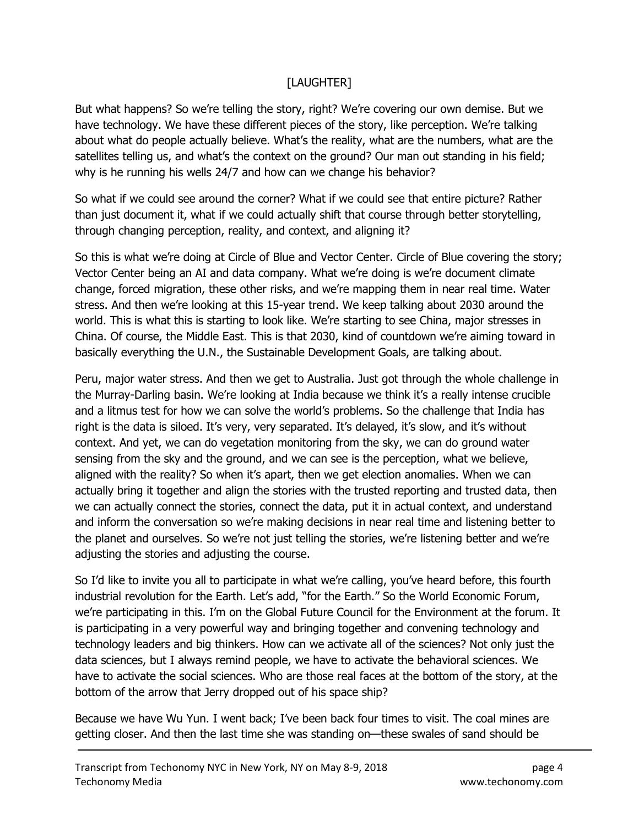## [LAUGHTER]

But what happens? So we're telling the story, right? We're covering our own demise. But we have technology. We have these different pieces of the story, like perception. We're talking about what do people actually believe. What's the reality, what are the numbers, what are the satellites telling us, and what's the context on the ground? Our man out standing in his field; why is he running his wells 24/7 and how can we change his behavior?

So what if we could see around the corner? What if we could see that entire picture? Rather than just document it, what if we could actually shift that course through better storytelling, through changing perception, reality, and context, and aligning it?

So this is what we're doing at Circle of Blue and Vector Center. Circle of Blue covering the story; Vector Center being an AI and data company. What we're doing is we're document climate change, forced migration, these other risks, and we're mapping them in near real time. Water stress. And then we're looking at this 15-year trend. We keep talking about 2030 around the world. This is what this is starting to look like. We're starting to see China, major stresses in China. Of course, the Middle East. This is that 2030, kind of countdown we're aiming toward in basically everything the U.N., the Sustainable Development Goals, are talking about.

Peru, major water stress. And then we get to Australia. Just got through the whole challenge in the Murray-Darling basin. We're looking at India because we think it's a really intense crucible and a litmus test for how we can solve the world's problems. So the challenge that India has right is the data is siloed. It's very, very separated. It's delayed, it's slow, and it's without context. And yet, we can do vegetation monitoring from the sky, we can do ground water sensing from the sky and the ground, and we can see is the perception, what we believe, aligned with the reality? So when it's apart, then we get election anomalies. When we can actually bring it together and align the stories with the trusted reporting and trusted data, then we can actually connect the stories, connect the data, put it in actual context, and understand and inform the conversation so we're making decisions in near real time and listening better to the planet and ourselves. So we're not just telling the stories, we're listening better and we're adjusting the stories and adjusting the course.

So I'd like to invite you all to participate in what we're calling, you've heard before, this fourth industrial revolution for the Earth. Let's add, "for the Earth." So the World Economic Forum, we're participating in this. I'm on the Global Future Council for the Environment at the forum. It is participating in a very powerful way and bringing together and convening technology and technology leaders and big thinkers. How can we activate all of the sciences? Not only just the data sciences, but I always remind people, we have to activate the behavioral sciences. We have to activate the social sciences. Who are those real faces at the bottom of the story, at the bottom of the arrow that Jerry dropped out of his space ship?

Because we have Wu Yun. I went back; I've been back four times to visit. The coal mines are getting closer. And then the last time she was standing on—these swales of sand should be